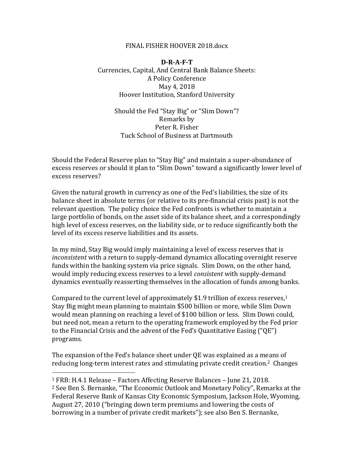### FINAL FISHER HOOVER 2018.docx

**D-R-A-F-T** Currencies, Capital, And Central Bank Balance Sheets: A Policy Conference May 4, 2018 Hoover Institution, Stanford University

> Should the Fed "Stay Big" or "Slim Down"? Remarks by Peter R. Fisher Tuck School of Business at Dartmouth

Should the Federal Reserve plan to "Stay Big" and maintain a super-abundance of excess reserves or should it plan to "Slim Down" toward a significantly lower level of excess reserves?

Given the natural growth in currency as one of the Fed's liabilities, the size of its balance sheet in absolute terms (or relative to its pre-financial crisis past) is not the relevant question. The policy choice the Fed confronts is whether to maintain a large portfolio of bonds, on the asset side of its balance sheet, and a correspondingly high level of excess reserves, on the liability side, or to reduce significantly both the level of its excess reserve liabilities and its assets.

In my mind, Stay Big would imply maintaining a level of excess reserves that is *inconsistent* with a return to supply-demand dynamics allocating overnight reserve funds within the banking system via price signals. Slim Down, on the other hand, would imply reducing excess reserves to a level *consistent* with supply-demand dynamics eventually reasserting themselves in the allocation of funds among banks.

Compared to the current level of approximately \$1.9 trillion of excess reserves, $1$ Stay Big might mean planning to maintain \$500 billion or more, while Slim Down would mean planning on reaching a level of \$100 billion or less. Slim Down could, but need not, mean a return to the operating framework employed by the Fed prior to the Financial Crisis and the advent of the Fed's Quantitative Easing ("QE") programs.

The expansion of the Fed's balance sheet under QE was explained as a means of reducing long-term interest rates and stimulating private credit creation.<sup>2</sup> Changes

l

<sup>1</sup> FRB: H.4.1 Release – Factors Affecting Reserve Balances – June 21, 2018. <sup>2</sup> See Ben S. Bernanke, "The Economic Outlook and Monetary Policy", Remarks at the Federal Reserve Bank of Kansas City Economic Symposium, Jackson Hole, Wyoming, August 27, 2010 ("bringing down term premiums and lowering the costs of borrowing in a number of private credit markets"); see also Ben S. Bernanke,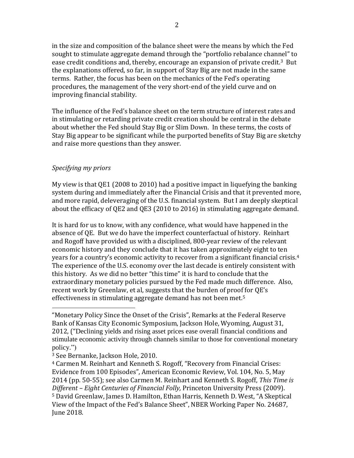in the size and composition of the balance sheet were the means by which the Fed sought to stimulate aggregate demand through the "portfolio rebalance channel" to ease credit conditions and, thereby, encourage an expansion of private credit.<sup>3</sup> But the explanations offered, so far, in support of Stay Big are not made in the same terms. Rather, the focus has been on the mechanics of the Fed's operating procedures, the management of the very short-end of the yield curve and on improving financial stability.

The influence of the Fed's balance sheet on the term structure of interest rates and in stimulating or retarding private credit creation should be central in the debate about whether the Fed should Stay Big or Slim Down. In these terms, the costs of Stay Big appear to be significant while the purported benefits of Stay Big are sketchy and raise more questions than they answer.

# *Specifying my priors*

l

My view is that QE1 (2008 to 2010) had a positive impact in liquefying the banking system during and immediately after the Financial Crisis and that it prevented more, and more rapid, deleveraging of the U.S. financial system. But I am deeply skeptical about the efficacy of QE2 and QE3 (2010 to 2016) in stimulating aggregate demand.

It is hard for us to know, with any confidence, what would have happened in the absence of QE. But we do have the imperfect counterfactual of history. Reinhart and Rogoff have provided us with a disciplined, 800-year review of the relevant economic history and they conclude that it has taken approximately eight to ten years for a country's economic activity to recover from a significant financial crisis.<sup>4</sup> The experience of the U.S. economy over the last decade is entirely consistent with this history. As we did no better "this time" it is hard to conclude that the extraordinary monetary policies pursued by the Fed made much difference. Also, recent work by Greenlaw, et al, suggests that the burden of proof for QE's effectiveness in stimulating aggregate demand has not been met.<sup>5</sup>

<sup>&</sup>quot;Monetary Policy Since the Onset of the Crisis", Remarks at the Federal Reserve Bank of Kansas City Economic Symposium, Jackson Hole, Wyoming, August 31, 2012, ("Declining yields and rising asset prices ease overall financial conditions and stimulate economic activity through channels similar to those for conventional monetary policy.")

<sup>3</sup> See Bernanke, Jackson Hole, 2010.

<sup>4</sup> Carmen M. Reinhart and Kenneth S. Rogoff, "Recovery from Financial Crises: Evidence from 100 Episodes", American Economic Review, Vol. 104, No. 5, May 2014 (pp. 50-55); see also Carmen M. Reinhart and Kenneth S. Rogoff, *This Time is Different – Eight Centuries of Financial Folly,* Princeton University Press (2009). <sup>5</sup> David Greenlaw, James D. Hamilton, Ethan Harris, Kenneth D. West, "A Skeptical View of the Impact of the Fed's Balance Sheet", NBER Working Paper No. 24687, June 2018.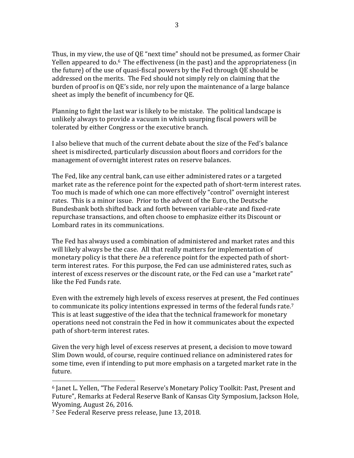Thus, in my view, the use of QE "next time" should not be presumed, as former Chair Yellen appeared to do.<sup>6</sup> The effectiveness (in the past) and the appropriateness (in the future) of the use of quasi-fiscal powers by the Fed through QE should be addressed on the merits. The Fed should not simply rely on claiming that the burden of proof is on QE's side, nor rely upon the maintenance of a large balance sheet as imply the benefit of incumbency for QE.

Planning to fight the last war is likely to be mistake. The political landscape is unlikely always to provide a vacuum in which usurping fiscal powers will be tolerated by either Congress or the executive branch.

I also believe that much of the current debate about the size of the Fed's balance sheet is misdirected, particularly discussion about floors and corridors for the management of overnight interest rates on reserve balances.

The Fed, like any central bank, can use either administered rates or a targeted market rate as the reference point for the expected path of short-term interest rates. Too much is made of which one can more effectively "control" overnight interest rates. This is a minor issue. Prior to the advent of the Euro, the Deutsche Bundesbank both shifted back and forth between variable-rate and fixed-rate repurchase transactions, and often choose to emphasize either its Discount or Lombard rates in its communications.

The Fed has always used a combination of administered and market rates and this will likely always be the case. All that really matters for implementation of monetary policy is that there *be* a reference point for the expected path of shortterm interest rates. For this purpose, the Fed can use administered rates, such as interest of excess reserves or the discount rate, or the Fed can use a "market rate" like the Fed Funds rate.

Even with the extremely high levels of excess reserves at present, the Fed continues to communicate its policy intentions expressed in terms of the federal funds rate.<sup>7</sup> This is at least suggestive of the idea that the technical framework for monetary operations need not constrain the Fed in how it communicates about the expected path of short-term interest rates.

Given the very high level of excess reserves at present, a decision to move toward Slim Down would, of course, require continued reliance on administered rates for some time, even if intending to put more emphasis on a targeted market rate in the future.

<sup>6</sup> Janet L. Yellen, "The Federal Reserve's Monetary Policy Toolkit: Past, Present and Future", Remarks at Federal Reserve Bank of Kansas City Symposium, Jackson Hole, Wyoming, August 26, 2016.

<sup>7</sup> See Federal Reserve press release, June 13, 2018.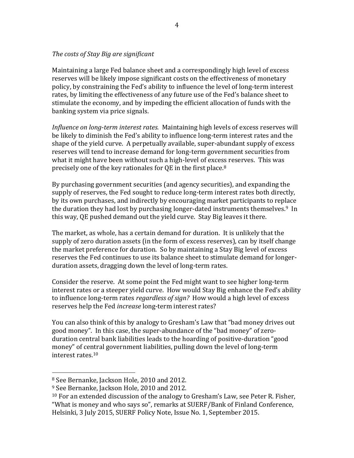## *The costs of Stay Big are significant*

Maintaining a large Fed balance sheet and a correspondingly high level of excess reserves will be likely impose significant costs on the effectiveness of monetary policy, by constraining the Fed's ability to influence the level of long-term interest rates, by limiting the effectiveness of any future use of the Fed's balance sheet to stimulate the economy, and by impeding the efficient allocation of funds with the banking system via price signals.

*Influence on long-term interest rates.* Maintaining high levels of excess reserves will be likely to diminish the Fed's ability to influence long-term interest rates and the shape of the yield curve. A perpetually available, super-abundant supply of excess reserves will tend to increase demand for long-term government securities from what it might have been without such a high-level of excess reserves. This was precisely one of the key rationales for QE in the first place.<sup>8</sup>

By purchasing government securities (and agency securities), and expanding the supply of reserves, the Fed sought to reduce long-term interest rates both directly, by its own purchases, and indirectly by encouraging market participants to replace the duration they had lost by purchasing longer-dated instruments themselves.<sup>9</sup> In this way, QE pushed demand out the yield curve. Stay Big leaves it there.

The market, as whole, has a certain demand for duration. It is unlikely that the supply of zero duration assets (in the form of excess reserves), can by itself change the market preference for duration. So by maintaining a Stay Big level of excess reserves the Fed continues to use its balance sheet to stimulate demand for longerduration assets, dragging down the level of long-term rates.

Consider the reserve. At some point the Fed might want to see higher long-term interest rates or a steeper yield curve. How would Stay Big enhance the Fed's ability to influence long-term rates *regardless of sign?* How would a high level of excess reserves help the Fed *increase* long-term interest rates?

You can also think of this by analogy to Gresham's Law that "bad money drives out good money". In this case, the super-abundance of the "bad money" of zeroduration central bank liabilities leads to the hoarding of positive-duration "good money" of central government liabilities, pulling down the level of long-term interest rates.<sup>10</sup>

l

<sup>8</sup> See Bernanke, Jackson Hole, 2010 and 2012.

<sup>&</sup>lt;sup>9</sup> See Bernanke, Jackson Hole, 2010 and 2012.

<sup>&</sup>lt;sup>10</sup> For an extended discussion of the analogy to Gresham's Law, see Peter R. Fisher, "What is money and who says so", remarks at SUERF/Bank of Finland Conference, Helsinki, 3 July 2015, SUERF Policy Note, Issue No. 1, September 2015.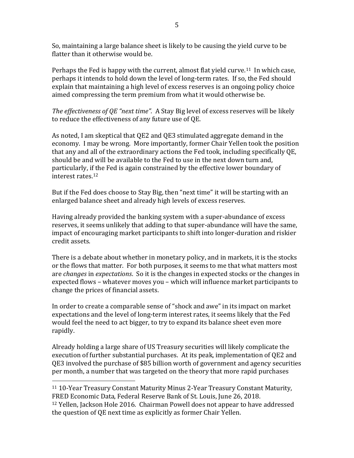So, maintaining a large balance sheet is likely to be causing the yield curve to be flatter than it otherwise would be.

Perhaps the Fed is happy with the current, almost flat yield curve.<sup>11</sup> In which case, perhaps it intends to hold down the level of long-term rates. If so, the Fed should explain that maintaining a high level of excess reserves is an ongoing policy choice aimed compressing the term premium from what it would otherwise be.

*The effectiveness of QE "next time".* A Stay Big level of excess reserves will be likely to reduce the effectiveness of any future use of QE.

As noted, I am skeptical that QE2 and QE3 stimulated aggregate demand in the economy. I may be wrong. More importantly, former Chair Yellen took the position that any and all of the extraordinary actions the Fed took, including specifically QE, should be and will be available to the Fed to use in the next down turn and, particularly, if the Fed is again constrained by the effective lower boundary of interest rates.<sup>12</sup>

But if the Fed does choose to Stay Big, then "next time" it will be starting with an enlarged balance sheet and already high levels of excess reserves.

Having already provided the banking system with a super-abundance of excess reserves, it seems unlikely that adding to that super-abundance will have the same, impact of encouraging market participants to shift into longer-duration and riskier credit assets.

There is a debate about whether in monetary policy, and in markets, it is the stocks or the flows that matter. For both purposes, it seems to me that what matters most are *changes* in *expectations*. So it is the changes in expected stocks or the changes in expected flows – whatever moves you – which will influence market participants to change the prices of financial assets.

In order to create a comparable sense of "shock and awe" in its impact on market expectations and the level of long-term interest rates, it seems likely that the Fed would feel the need to act bigger, to try to expand its balance sheet even more rapidly.

Already holding a large share of US Treasury securities will likely complicate the execution of further substantial purchases. At its peak, implementation of QE2 and QE3 involved the purchase of \$85 billion worth of government and agency securities per month, a number that was targeted on the theory that more rapid purchases

<sup>11</sup> 10-Year Treasury Constant Maturity Minus 2-Year Treasury Constant Maturity, FRED Economic Data, Federal Reserve Bank of St. Louis, June 26, 2018. <sup>12</sup> Yellen, Jackson Hole 2016. Chairman Powell does not appear to have addressed the question of QE next time as explicitly as former Chair Yellen.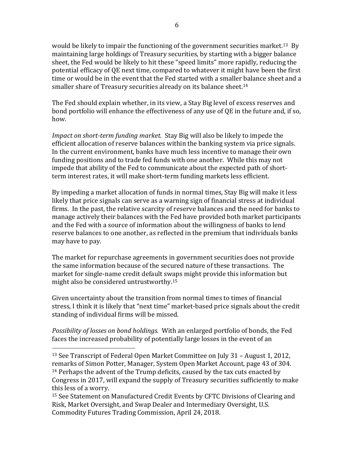would be likely to impair the functioning of the government securities market.<sup>13</sup> By maintaining large holdings of Treasury securities, by starting with a bigger balance sheet, the Fed would be likely to hit these "speed limits" more rapidly, reducing the potential efficacy of QE next time, compared to whatever it might have been the first time or would be in the event that the Fed started with a smaller balance sheet and a smaller share of Treasury securities already on its balance sheet.<sup>14</sup>

The Fed should explain whether, in its view, a Stay Big level of excess reserves and bond portfolio will enhance the effectiveness of any use of QE in the future and, if so, how.

*Impact on short-term funding market.* Stay Big will also be likely to impede the efficient allocation of reserve balances within the banking system via price signals. In the current environment, banks have much less incentive to manage their own funding positions and to trade fed funds with one another. While this may not impede that ability of the Fed to communicate about the expected path of shortterm interest rates, it will make short-term funding markets less efficient.

By impeding a market allocation of funds in normal times, Stay Big will make it less likely that price signals can serve as a warning sign of financial stress at individual firms. In the past, the relative scarcity of reserve balances and the need for banks to manage actively their balances with the Fed have provided both market participants and the Fed with a source of information about the willingness of banks to lend reserve balances to one another, as reflected in the premium that individuals banks may have to pay.

The market for repurchase agreements in government securities does not provide the same information because of the secured nature of these transactions. The market for single-name credit default swaps might provide this information but might also be considered untrustworthy.<sup>15</sup>

Given uncertainty about the transition from normal times to times of financial stress, I think it is likely that "next time" market-based price signals about the credit standing of individual firms will be missed.

*Possibility of losses on bond holdings.* With an enlarged portfolio of bonds, the Fed faces the increased probability of potentially large losses in the event of an

<sup>13</sup> See Transcript of Federal Open Market Committee on July 31 – August 1, 2012, remarks of Simon Potter, Manager, System Open Market Account, page 43 of 304. <sup>14</sup> Perhaps the advent of the Trump deficits, caused by the tax cuts enacted by Congress in 2017, will expand the supply of Treasury securities sufficiently to make this less of a worry.

<sup>15</sup> See Statement on Manufactured Credit Events by CFTC Divisions of Clearing and Risk, Market Oversight, and Swap Dealer and Intermediary Oversight, U.S. Commodity Futures Trading Commission, April 24, 2018.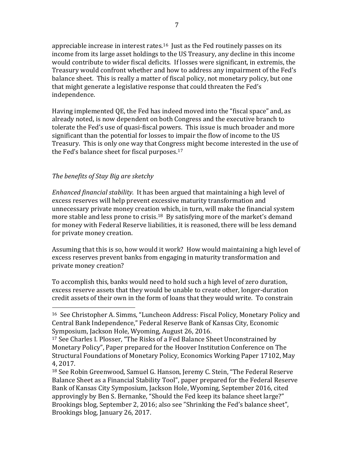appreciable increase in interest rates.<sup>16</sup> Just as the Fed routinely passes on its income from its large asset holdings to the US Treasury, any decline in this income would contribute to wider fiscal deficits. If losses were significant, in extremis, the Treasury would confront whether and how to address any impairment of the Fed's balance sheet. This is really a matter of fiscal policy, not monetary policy, but one that might generate a legislative response that could threaten the Fed's independence.

Having implemented QE, the Fed has indeed moved into the "fiscal space" and, as already noted, is now dependent on both Congress and the executive branch to tolerate the Fed's use of quasi-fiscal powers. This issue is much broader and more significant than the potential for losses to impair the flow of income to the US Treasury. This is only one way that Congress might become interested in the use of the Fed's balance sheet for fiscal purposes.<sup>17</sup>

# *The benefits of Stay Big are sketchy*

*Enhanced financial stability.* It has been argued that maintaining a high level of excess reserves will help prevent excessive maturity transformation and unnecessary private money creation which, in turn, will make the financial system more stable and less prone to crisis.<sup>18</sup> By satisfying more of the market's demand for money with Federal Reserve liabilities, it is reasoned, there will be less demand for private money creation.

Assuming that this is so, how would it work? How would maintaining a high level of excess reserves prevent banks from engaging in maturity transformation and private money creation?

To accomplish this, banks would need to hold such a high level of zero duration, excess reserve assets that they would be unable to create other, longer-duration credit assets of their own in the form of loans that they would write. To constrain

 $\overline{\phantom{a}}$ <sup>16</sup> See Christopher A. Simms, "Luncheon Address: Fiscal Policy, Monetary Policy and Central Bank Independence," Federal Reserve Bank of Kansas City, Economic Symposium, Jackson Hole, Wyoming, August 26, 2016.

<sup>17</sup> See Charles I. Plosser, "The Risks of a Fed Balance Sheet Unconstrained by Monetary Policy", Paper prepared for the Hoover Institution Conference on The Structural Foundations of Monetary Policy, Economics Working Paper 17102, May 4, 2017.

<sup>18</sup> See Robin Greenwood, Samuel G. Hanson, Jeremy C. Stein, "The Federal Reserve Balance Sheet as a Financial Stability Tool", paper prepared for the Federal Reserve Bank of Kansas City Symposium, Jackson Hole, Wyoming, September 2016, cited approvingly by Ben S. Bernanke, "Should the Fed keep its balance sheet large?" Brookings blog, September 2, 2016; also see "Shrinking the Fed's balance sheet", Brookings blog, January 26, 2017.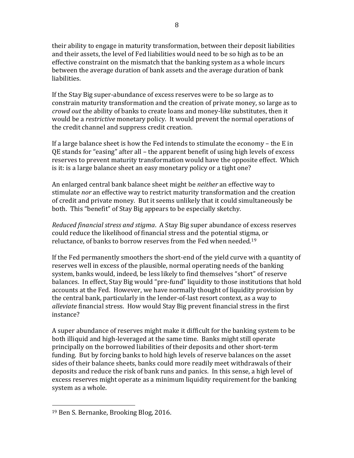their ability to engage in maturity transformation, between their deposit liabilities and their assets, the level of Fed liabilities would need to be so high as to be an effective constraint on the mismatch that the banking system as a whole incurs between the average duration of bank assets and the average duration of bank liabilities.

If the Stay Big super-abundance of excess reserves were to be so large as to constrain maturity transformation and the creation of private money, so large as to *crowd out* the ability of banks to create loans and money-like substitutes, then it would be a *restrictive* monetary policy. It would prevent the normal operations of the credit channel and suppress credit creation.

If a large balance sheet is how the Fed intends to stimulate the economy – the E in QE stands for "easing" after all – the apparent benefit of using high levels of excess reserves to prevent maturity transformation would have the opposite effect. Which is it: is a large balance sheet an easy monetary policy or a tight one?

An enlarged central bank balance sheet might be *neither* an effective way to stimulate *nor* an effective way to restrict maturity transformation and the creation of credit and private money. But it seems unlikely that it could simultaneously be both. This "benefit" of Stay Big appears to be especially sketchy.

*Reduced financial stress and stigma*. A Stay Big super abundance of excess reserves could reduce the likelihood of financial stress and the potential stigma, or reluctance, of banks to borrow reserves from the Fed when needed.<sup>19</sup>

If the Fed permanently smoothers the short-end of the yield curve with a quantity of reserves well in excess of the plausible, normal operating needs of the banking system, banks would, indeed, be less likely to find themselves "short" of reserve balances. In effect, Stay Big would "pre-fund" liquidity to those institutions that hold accounts at the Fed. However, we have normally thought of liquidity provision by the central bank, particularly in the lender-of-last resort context, as a way to *alleviate* financial stress. How would Stay Big prevent financial stress in the first instance?

A super abundance of reserves might make it difficult for the banking system to be both illiquid and high-leveraged at the same time. Banks might still operate principally on the borrowed liabilities of their deposits and other short-term funding. But by forcing banks to hold high levels of reserve balances on the asset sides of their balance sheets, banks could more readily meet withdrawals of their deposits and reduce the risk of bank runs and panics. In this sense, a high level of excess reserves might operate as a minimum liquidity requirement for the banking system as a whole.

l

<sup>19</sup> Ben S. Bernanke, Brooking Blog, 2016.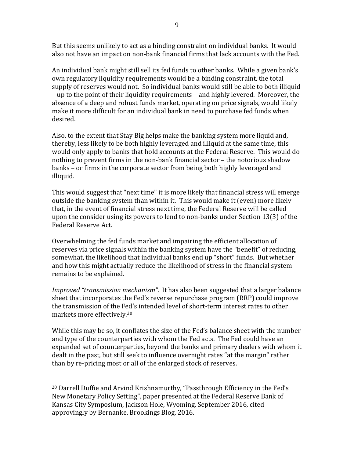But this seems unlikely to act as a binding constraint on individual banks. It would also not have an impact on non-bank financial firms that lack accounts with the Fed.

An individual bank might still sell its fed funds to other banks. While a given bank's own regulatory liquidity requirements would be a binding constraint, the total supply of reserves would not. So individual banks would still be able to both illiquid – up to the point of their liquidity requirements – and highly levered. Moreover, the absence of a deep and robust funds market, operating on price signals, would likely make it more difficult for an individual bank in need to purchase fed funds when desired.

Also, to the extent that Stay Big helps make the banking system more liquid and, thereby, less likely to be both highly leveraged and illiquid at the same time, this would only apply to banks that hold accounts at the Federal Reserve. This would do nothing to prevent firms in the non-bank financial sector – the notorious shadow banks – or firms in the corporate sector from being both highly leveraged and illiquid.

This would suggest that "next time" it is more likely that financial stress will emerge outside the banking system than within it. This would make it (even) more likely that, in the event of financial stress next time, the Federal Reserve will be called upon the consider using its powers to lend to non-banks under Section 13(3) of the Federal Reserve Act.

Overwhelming the fed funds market and impairing the efficient allocation of reserves via price signals within the banking system have the "benefit" of reducing, somewhat, the likelihood that individual banks end up "short" funds. But whether and how this might actually reduce the likelihood of stress in the financial system remains to be explained.

*Improved "transmission mechanism".* It has also been suggested that a larger balance sheet that incorporates the Fed's reverse repurchase program (RRP) could improve the transmission of the Fed's intended level of short-term interest rates to other markets more effectively.<sup>20</sup>

While this may be so, it conflates the size of the Fed's balance sheet with the number and type of the counterparties with whom the Fed acts. The Fed could have an expanded set of counterparties, beyond the banks and primary dealers with whom it dealt in the past, but still seek to influence overnight rates "at the margin" rather than by re-pricing most or all of the enlarged stock of reserves.

<sup>20</sup> Darrell Duffie and Arvind Krishnamurthy, "Passthrough Efficiency in the Fed's New Monetary Policy Setting", paper presented at the Federal Reserve Bank of Kansas City Symposium, Jackson Hole, Wyoming, September 2016, cited approvingly by Bernanke, Brookings Blog, 2016.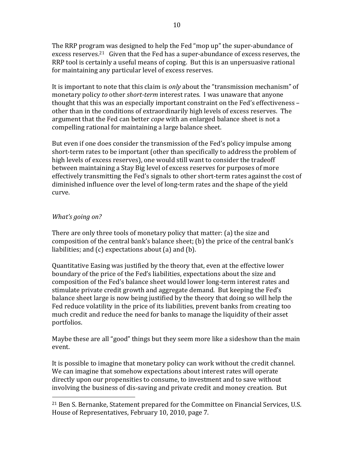The RRP program was designed to help the Fed "mop up" the super-abundance of excess reserves.<sup>21</sup> Given that the Fed has a super-abundance of excess reserves, the RRP tool is certainly a useful means of coping. But this is an unpersuasive rational for maintaining any particular level of excess reserves.

It is important to note that this claim is *only* about the "transmission mechanism" of monetary policy *to* other *short-term* interest rates. I was unaware that anyone thought that this was an especially important constraint on the Fed's effectiveness – other than in the conditions of extraordinarily high levels of excess reserves. The argument that the Fed can better *cope* with an enlarged balance sheet is not a compelling rational for maintaining a large balance sheet.

But even if one does consider the transmission of the Fed's policy impulse among short-term rates to be important (other than specifically to address the problem of high levels of excess reserves), one would still want to consider the tradeoff between maintaining a Stay Big level of excess reserves for purposes of more effectively transmitting the Fed's signals to other short-term rates against the cost of diminished influence over the level of long-term rates and the shape of the yield curve.

# *What's going on?*

 $\overline{\phantom{a}}$ 

There are only three tools of monetary policy that matter: (a) the size and composition of the central bank's balance sheet; (b) the price of the central bank's liabilities; and (c) expectations about (a) and (b).

Quantitative Easing was justified by the theory that, even at the effective lower boundary of the price of the Fed's liabilities, expectations about the size and composition of the Fed's balance sheet would lower long-term interest rates and stimulate private credit growth and aggregate demand. But keeping the Fed's balance sheet large is now being justified by the theory that doing so will help the Fed reduce volatility in the price of its liabilities, prevent banks from creating too much credit and reduce the need for banks to manage the liquidity of their asset portfolios.

Maybe these are all "good" things but they seem more like a sideshow than the main event.

It is possible to imagine that monetary policy can work without the credit channel. We can imagine that somehow expectations about interest rates will operate directly upon our propensities to consume, to investment and to save without involving the business of dis-saving and private credit and money creation. But

<sup>21</sup> Ben S. Bernanke, Statement prepared for the Committee on Financial Services, U.S. House of Representatives, February 10, 2010, page 7.